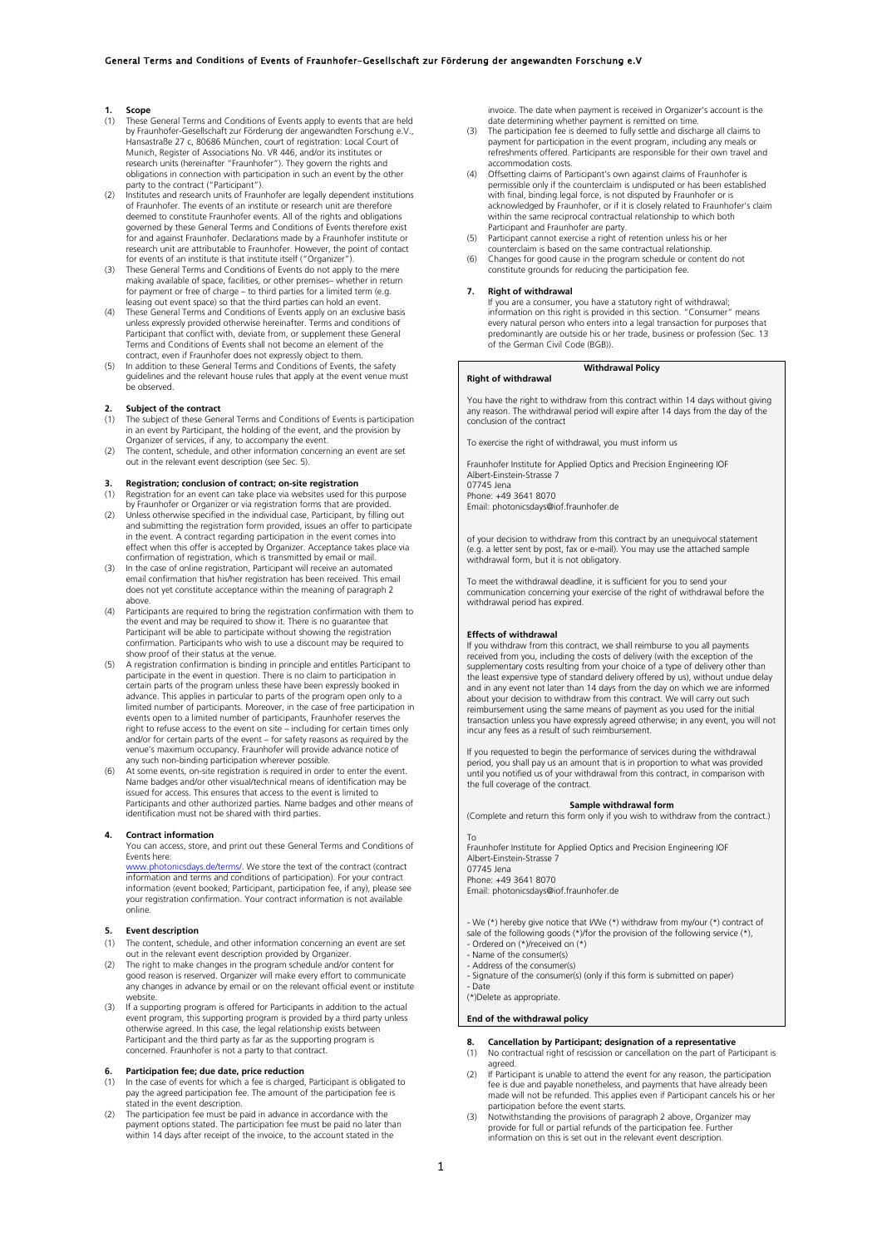## **1. Scope**<br>(1) **These**

- These General Terms and Conditions of Events apply to events that are held by Fraunhofer-Gesellschaft zur Förderung der angewandten Forschung e.V., Hansastraße 27 c, 80686 München, court of registration: Local Court of Munich, Register of Associations No. VR 446, and/or its institutes or research units (hereinafter "Fraunhofer"). They govern the rights and obligations in connection with participation in such an event by the other party to the contract ("Participant").
- (2) Institutes and research units of Fraunhofer are legally dependent institutions of Fraunhofer. The events of an institute or research unit are therefore deemed to constitute Fraunhofer events. All of the rights and obligations governed by these General Terms and Conditions of Events therefore exist for and against Fraunhofer. Declarations made by a Fraunhofer institute or research unit are attributable to Fraunhofer. However, the point of contact for events of an institute is that institute itself ("Organizer").
- (3) These General Terms and Conditions of Events do not apply to the mere making available of space, facilities, or other premises– whether in return<br>for payment or free of charge – to third parties for a limited term (e.g.<br>leasing out event space) so that the third parties can hold an event.<br>Th
- unless expressly provided otherwise hereinafter. Terms and conditions of Participant that conflict with, deviate from, or supplement these General Terms and Conditions of Events shall not become an element of the
- contract, even if Fraunhofer does not expressly object to them. (5) In addition to these General Terms and Conditions of Events, the safety guidelines and the relevant house rules that apply at the event venue must be observed.

### **2. Subject of the contract**

- The subject of these General Terms and Conditions of Events is participation in an event by Participant, the holding of the event, and the provision by Organizer of services, if any, to accompany the event.
- (2) The content, schedule, and other information concerning an event are set out in the relevant event description (see Sec. 5).

# **3. Registration; conclusion of contract; on-site registration**

- (1) Registration for an event can take place via websites used for this purpose by Fraunhofer or Organizer or via registration forms that are provided.
- (2) Unless otherwise specified in the individual case, Participant, by filling out and submitting the registration form provided, issues an offer to participate in the event. A contract regarding participation in the event comes into effect when this offer is accepted by Organizer. Acceptance takes place via confirmation of registration, which is transmitted by email or mail.
- (3) In the case of online registration, Participant will receive an automated email confirmation that his/her registration has been received. This email does not yet constitute acceptance within the meaning of paragraph 2 above.
- (4) Participants are required to bring the registration confirmation with them to the event and may be required to show it. There is no guarantee that Participant will be able to participate without showing the registration confirmation. Participants who wish to use a discount may be required to show proof of their status at the venue.
- (5) A registration confirmation is binding in principle and entitles Participant to participate in the event in question. There is no claim to participation in certain parts of the program unless these have been expressly booked in advance. This applies in particular to parts of the program open only to a limited number of participants. Moreover, in the case of free participation in events open to a limited number of participants, Fraunhofer reserves the right to refuse access to the event on site – including for certain times only and/or for certain parts of the event – for safety reasons as required by the venue's maximum occupancy. Fraunhofer will provide advance notice of
- any such non-binding participation wherever possible.<br>(6) At some events, on-site registration is required in order to enter the event.<br>Mame badges and/or other visual/technical means of identification may be issued for access. This ensures that access to the event is limited to Participants and other authorized parties. Name badges and other means of identification must not be shared with third parties.

### **4. Contract information**

You can access, store, and print out these General Terms and Conditions of Events here:

www.photonicsdays.de/terms/. We store the text of the contract (contract information and terms and conditions of participation). For your contract information (event booked; Participant, participation fee, if any), please see your registration confirmation. Your contract information is not available online.

### **5. Event description**

- (1) The content, schedule, and other information concerning an event are set out in the relevant event description provided by Organizer.
- (2) The right to make changes in the program schedule and/or content for good reason is reserved. Organizer will make every effort to communicate any changes in advance by email or on the relevant official event or institute website.
- (3) If a supporting program is offered for Participants in addition to the actual event program, this supporting program is provided by a third party unless otherwise agreed. In this case, the legal relationship exists between Participant and the third party as far as the supporting program is concerned. Fraunhofer is not a party to that contract.

- **6.** Participation fee; due date, price reduction<br>(1) In the case of events for which a fee is charged, Participant is obligated to pay the agreed participation fee. The amount of the participation fee is stated in the event description. (2) The participation fee must be paid in advance in accordance with the
- payment options stated. The participation fee must be paid no later than within 14 days after receipt of the invoice, to the account stated in the

invoice. The date when payment is received in Organizer's account is the date determining whether payment is remitted on time.

- (3) The participation fee is deemed to fully settle and discharge all claims to payment for participation in the event program, including any meals or refreshments offered. Participants are responsible for their own travel and accommodation costs.
- Offsetting claims of Participant's own against claims of Fraunhofer is permissible only if the counterclaim is undisputed or has been established with final, binding legal force, is not disputed by Fraunhofer or is acknowledged by Fraunhofer, or if it is closely related to Fraunhofer's claim within the same reciprocal contractual relationship to which both
- Participant and Fraunhofer are party. (5) Participant cannot exercise a right of retention unless his or her
- counterclaim is based on the same contractual relationship. (6) Changes for good cause in the program schedule or content do not constitute grounds for reducing the participation fee.

### **7. Right of withdrawal**

If you are a consumer, you have a statutory right of withdrawal; information on this right is provided in this section. "Consumer" means every natural person who enters into a legal transaction for purposes that predominantly are outside his or her trade, business or profession (Sec. 13 of the German Civil Code (BGB)).

### **Right of withdrawal**

## **Withdrawal Policy**

You have the right to withdraw from this contract within 14 days without giving any reason. The withdrawal period will expire after 14 days from the day of the conclusion of the contract

To exercise the right of withdrawal, you must inform us

Fraunhofer Institute for Applied Optics and Precision Engineering IOF Albert-Einstein-Strasse 7 07745 Jena

Phone: +49 3641 8070

Email: photonicsdays@iof.fraunhofer.de

of your decision to withdraw from this contract by an unequivocal statement (e.g. a letter sent by post, fax or e-mail). You may use the attached sample withdrawal form, but it is not obligatory.

To meet the withdrawal deadline, it is sufficient for you to send your communication concerning your exercise of the right of withdrawal before the withdrawal period has expired.

### **Effects of withdrawal**

If you withdraw from this contract, we shall reimburse to you all payments received from you, including the costs of delivery (with the exception of the supplementary costs resulting from your choice of a type of delivery other than the least expensive type of standard delivery offered by us), without undue delay and in any event not later than 14 days from the day on which we are informed about your decision to withdraw from this contract. We will carry out such reimbursement using the same means of payment as you used for the initial transaction unless you have expressly agreed otherwise; in any event, you will not incur any fees as a result of such reimbursement.

If you requested to begin the performance of services during the withdrawal period, you shall pay us an amount that is in proportion to what was provided until you notified us of your withdrawal from this contract, in comparison with the full coverage of the contract.

### **Sample withdrawal form**

(Complete and return this form only if you wish to withdraw from the contract.)

To Fraunhofer Institute for Applied Optics and Precision Engineering IOF Albert-Einstein-Strasse 7

### 07745 Jena

Phone: +49 3641 8070 Email: photonicsdays@iof.fraunhofer.de

- We (\*) hereby give notice that I/We (\*) withdraw from my/our (\*) contract of
- sale of the following goods (\*)/for the provision of the following service (\*), Ordered on (\*)/received on (\*)
- 
- Name of the consumer(s) Address of the consumer(s)
- Signature of the consumer(s) (only if this form is submitted on paper) - Date

(\*)Delete as appropriate.

### **End of the withdrawal policy**

- **8. Cancellation by Participant; designation of a representative**
- (1) No contractual right of rescission or cancellation on the part of Participant is agreed. (2) If Participant is unable to attend the event for any reason, the participation
- fee is due and payable nonetheless, and payments that have already been made will not be refunded. This applies even if Participant cancels his or her participation before the event starts.
- (3) Notwithstanding the provisions of paragraph 2 above, Organizer may provide for full or partial refunds of the participation fee. Further information on this is set out in the relevant event description.